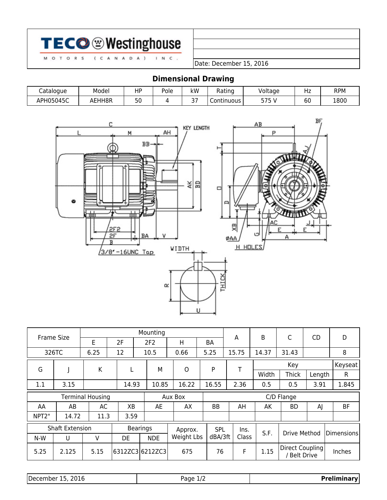|--|--|

 $(C A N A D A)$ 

M O T O R S

Date: December 15, 2016

# **Dimensional Drawing**

 $I$  N C .

| Cataloque | Model  | HP | Pole | kW        | Rating       | Voltage | ᅟᆞ        | RPM  |
|-----------|--------|----|------|-----------|--------------|---------|-----------|------|
| APH05045C | AEHH8R | 50 |      | $-1$<br>ັ | Continuous I | -75     | r r<br>юu | 1800 |



|       | <b>Frame Size</b>                  |      |       | Mounting        |            |           | A     | B     | C                                    | <b>CD</b> | D          |
|-------|------------------------------------|------|-------|-----------------|------------|-----------|-------|-------|--------------------------------------|-----------|------------|
|       |                                    | E    | 2F    | 2F <sub>2</sub> | H          | <b>BA</b> |       |       |                                      |           |            |
|       | 326TC                              | 6.25 | 12    | 10.5            | 0.66       | 5.25      | 15.75 | 14.37 | 31.43                                |           | 8          |
| G     |                                    | K    | L     | М               | O          | P         | T     |       | Key                                  |           | Keyseat    |
|       |                                    |      |       |                 |            |           |       | Width | <b>Thick</b>                         | Length    | R          |
| 1.1   | 3.15                               |      | 14.93 | 10.85           | 16.22      | 16.55     | 2.36  | 0.5   | 0.5                                  | 3.91      | 1.845      |
|       | <b>Terminal Housing</b><br>Aux Box |      |       | C/D Flange      |            |           |       |       |                                      |           |            |
| AA    | AB                                 | AC   | XB    | AE              | AX         | BB        | AH    | АK    | BD                                   | AJ        | <b>BF</b>  |
| NPT2" | 14.72                              | 11.3 | 3.59  |                 |            |           |       |       |                                      |           |            |
|       | <b>Shaft Extension</b>             |      |       | <b>Bearings</b> | Approx.    | SPL       | lns.  | S.F.  | Drive Method                         |           | Dimensions |
| N-W   | U                                  | v    | DE    | <b>NDE</b>      | Weight Lbs | dBA/3ft   | Class |       |                                      |           |            |
| 5.25  | 2.125                              | 5.15 |       | 6312ZC3 6212ZC3 | 675        | 76        | F     | 1.15  | Direct Coupling<br><b>Belt Drive</b> |           | Inches     |

| December 15, 2016 |  |  |  |
|-------------------|--|--|--|
|-------------------|--|--|--|

Page 1/2 **Preliminary**